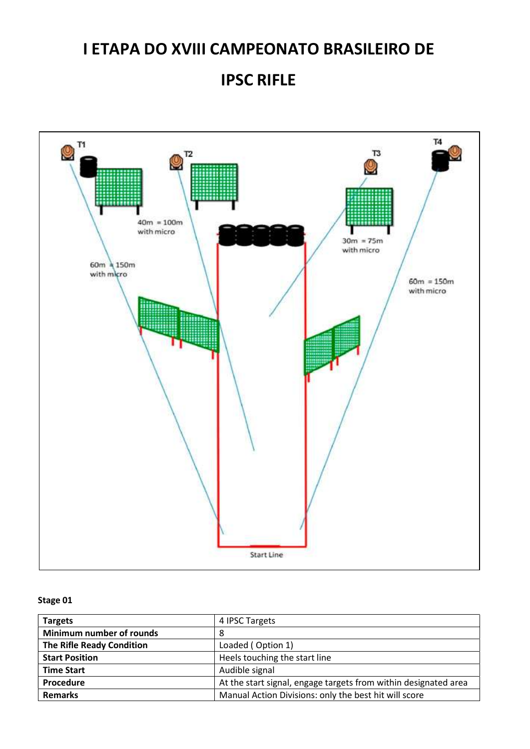## IPSC RIFLE



| <b>Targets</b>            | 4 IPSC Targets                                                  |
|---------------------------|-----------------------------------------------------------------|
| Minimum number of rounds  | 8                                                               |
| The Rifle Ready Condition | Loaded (Option 1)                                               |
| <b>Start Position</b>     | Heels touching the start line                                   |
| <b>Time Start</b>         | Audible signal                                                  |
| Procedure                 | At the start signal, engage targets from within designated area |
| <b>Remarks</b>            | Manual Action Divisions: only the best hit will score           |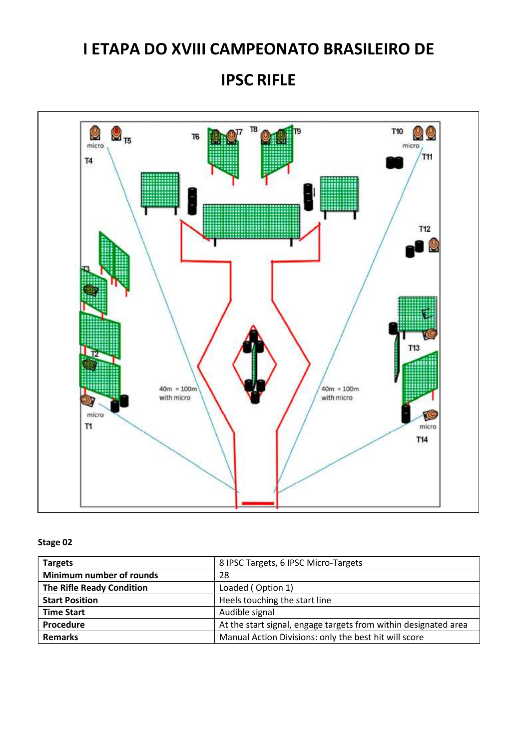## IPSC RIFLE



| <b>Targets</b>                   | 8 IPSC Targets, 6 IPSC Micro-Targets                            |
|----------------------------------|-----------------------------------------------------------------|
| Minimum number of rounds         | 28                                                              |
| <b>The Rifle Ready Condition</b> | Loaded (Option 1)                                               |
| <b>Start Position</b>            | Heels touching the start line                                   |
| <b>Time Start</b>                | Audible signal                                                  |
| Procedure                        | At the start signal, engage targets from within designated area |
| <b>Remarks</b>                   | Manual Action Divisions: only the best hit will score           |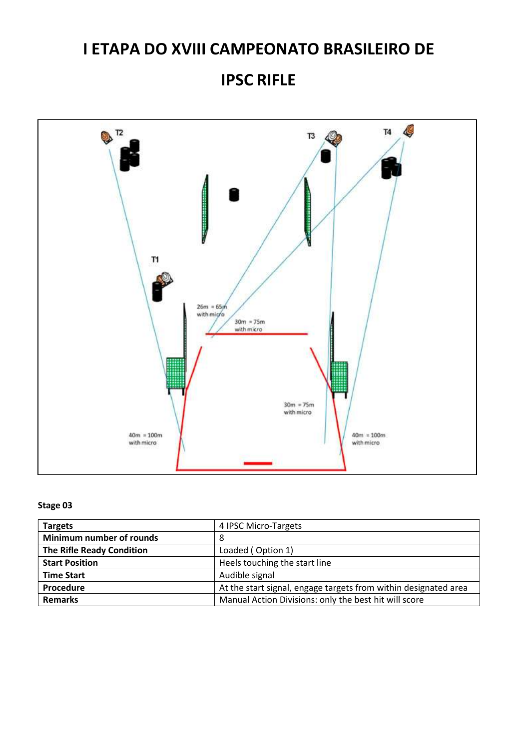## IPSC RIFLE



| <b>Targets</b>                   | 4 IPSC Micro-Targets                                            |
|----------------------------------|-----------------------------------------------------------------|
| Minimum number of rounds         | 8                                                               |
| <b>The Rifle Ready Condition</b> | Loaded (Option 1)                                               |
| <b>Start Position</b>            | Heels touching the start line                                   |
| <b>Time Start</b>                | Audible signal                                                  |
| Procedure                        | At the start signal, engage targets from within designated area |
| <b>Remarks</b>                   | Manual Action Divisions: only the best hit will score           |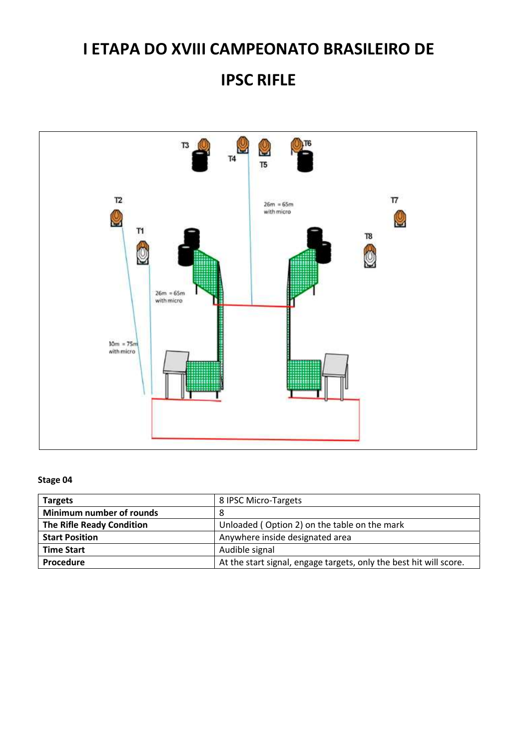## IPSC RIFLE



| <b>Targets</b>                   | 8 IPSC Micro-Targets                                               |
|----------------------------------|--------------------------------------------------------------------|
| Minimum number of rounds         | 8                                                                  |
| <b>The Rifle Ready Condition</b> | Unloaded (Option 2) on the table on the mark                       |
| <b>Start Position</b>            | Anywhere inside designated area                                    |
| <b>Time Start</b>                | Audible signal                                                     |
| Procedure                        | At the start signal, engage targets, only the best hit will score. |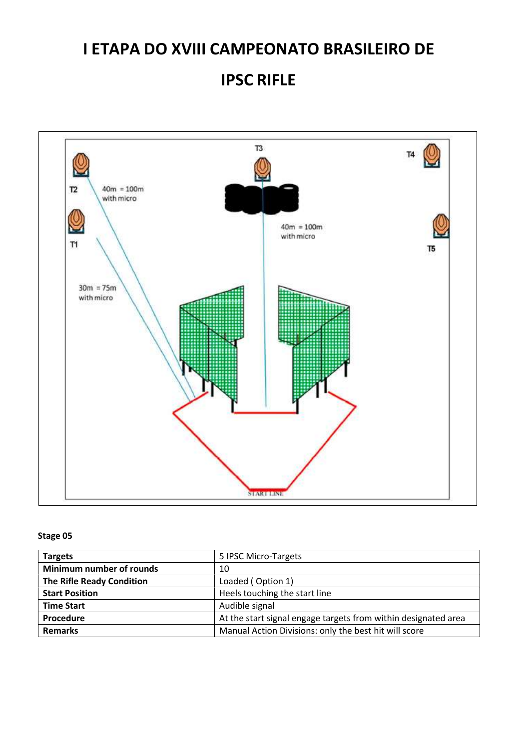## IPSC RIFLE



| <b>Targets</b>                   | 5 IPSC Micro-Targets                                           |
|----------------------------------|----------------------------------------------------------------|
| Minimum number of rounds         | 10                                                             |
| <b>The Rifle Ready Condition</b> | Loaded (Option 1)                                              |
| <b>Start Position</b>            | Heels touching the start line                                  |
| <b>Time Start</b>                | Audible signal                                                 |
| Procedure                        | At the start signal engage targets from within designated area |
| <b>Remarks</b>                   | Manual Action Divisions: only the best hit will score          |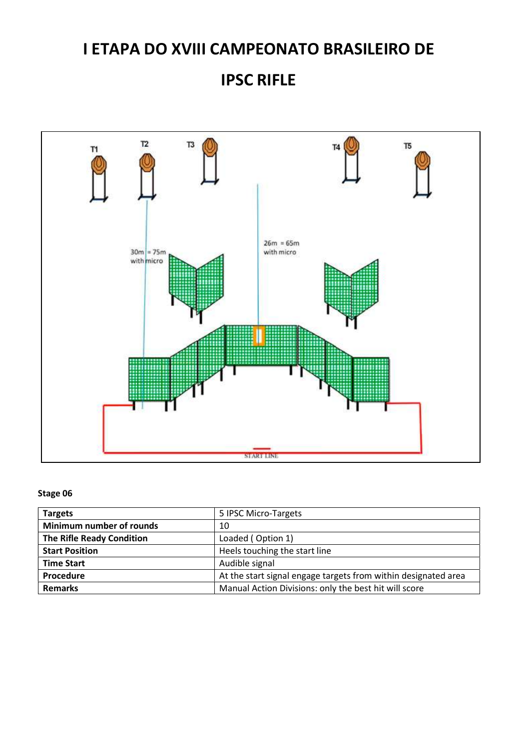IPSC RIFLE



| <b>Targets</b>                   | 5 IPSC Micro-Targets                                           |
|----------------------------------|----------------------------------------------------------------|
| Minimum number of rounds         | 10                                                             |
| <b>The Rifle Ready Condition</b> | Loaded (Option 1)                                              |
| <b>Start Position</b>            | Heels touching the start line                                  |
| <b>Time Start</b>                | Audible signal                                                 |
| Procedure                        | At the start signal engage targets from within designated area |
| <b>Remarks</b>                   | Manual Action Divisions: only the best hit will score          |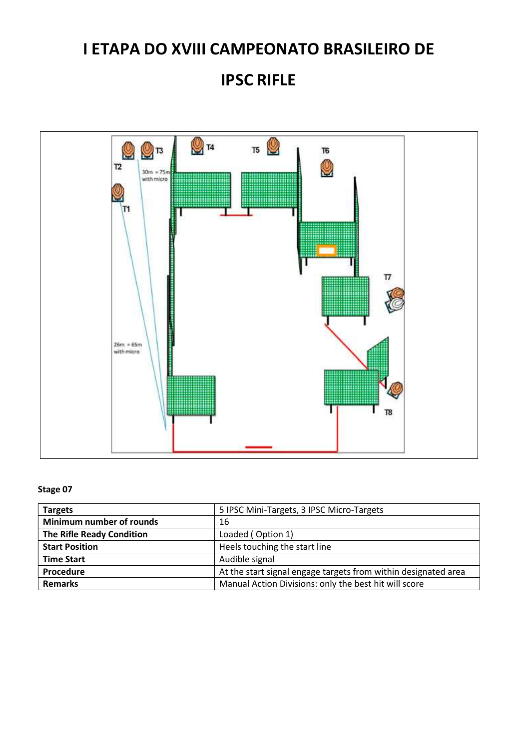IPSC RIFLE



| <b>Targets</b>                   | 5 IPSC Mini-Targets, 3 IPSC Micro-Targets                      |
|----------------------------------|----------------------------------------------------------------|
| Minimum number of rounds         | 16                                                             |
| <b>The Rifle Ready Condition</b> | Loaded (Option 1)                                              |
| <b>Start Position</b>            | Heels touching the start line                                  |
| <b>Time Start</b>                | Audible signal                                                 |
| Procedure                        | At the start signal engage targets from within designated area |
| <b>Remarks</b>                   | Manual Action Divisions: only the best hit will score          |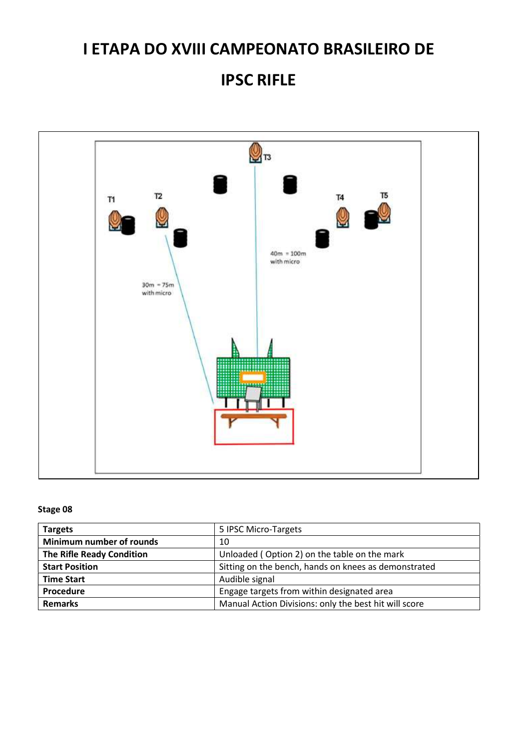## IPSC RIFLE



| <b>Targets</b>            | 5 IPSC Micro-Targets                                  |
|---------------------------|-------------------------------------------------------|
| Minimum number of rounds  | 10                                                    |
| The Rifle Ready Condition | Unloaded (Option 2) on the table on the mark          |
| <b>Start Position</b>     | Sitting on the bench, hands on knees as demonstrated  |
| <b>Time Start</b>         | Audible signal                                        |
| Procedure                 | Engage targets from within designated area            |
| <b>Remarks</b>            | Manual Action Divisions: only the best hit will score |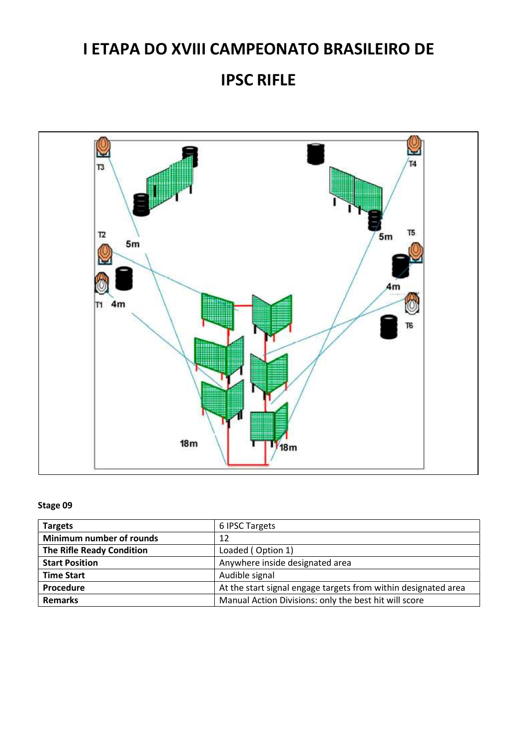### IPSC RIFLE



| <b>Targets</b>                   | 6 IPSC Targets                                                 |
|----------------------------------|----------------------------------------------------------------|
| Minimum number of rounds         | 12                                                             |
| <b>The Rifle Ready Condition</b> | Loaded (Option 1)                                              |
| <b>Start Position</b>            | Anywhere inside designated area                                |
| <b>Time Start</b>                | Audible signal                                                 |
| Procedure                        | At the start signal engage targets from within designated area |
| <b>Remarks</b>                   | Manual Action Divisions: only the best hit will score          |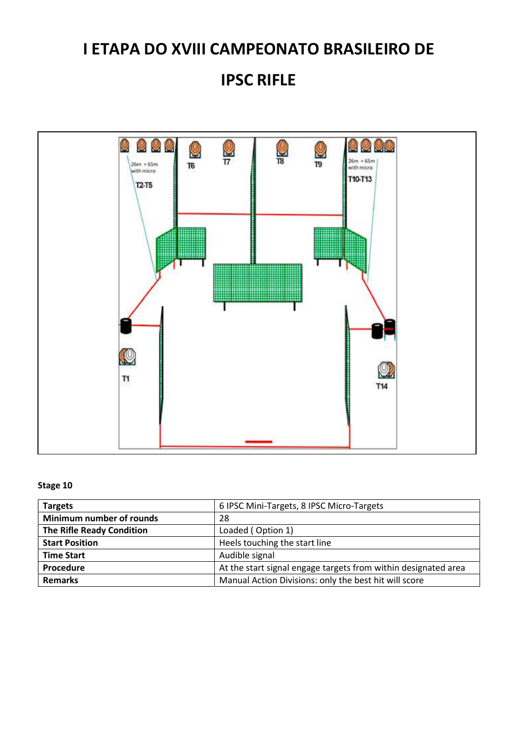## IPSC RIFLE



| <b>Targets</b>                   | 6 IPSC Mini-Targets, 8 IPSC Micro-Targets                      |
|----------------------------------|----------------------------------------------------------------|
| Minimum number of rounds         | 28                                                             |
| <b>The Rifle Ready Condition</b> | Loaded (Option 1)                                              |
| <b>Start Position</b>            | Heels touching the start line                                  |
| <b>Time Start</b>                | Audible signal                                                 |
| Procedure                        | At the start signal engage targets from within designated area |
| <b>Remarks</b>                   | Manual Action Divisions: only the best hit will score          |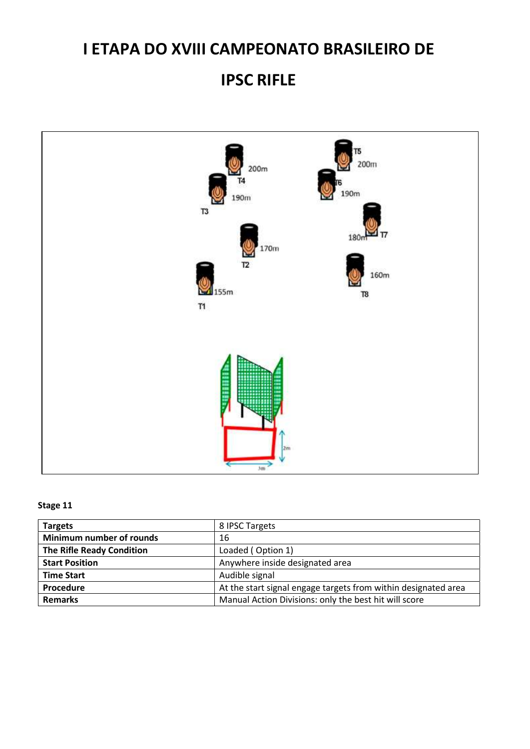## IPSC RIFLE



| <b>Targets</b>                   | 8 IPSC Targets                                                 |
|----------------------------------|----------------------------------------------------------------|
| Minimum number of rounds         | 16                                                             |
| <b>The Rifle Ready Condition</b> | Loaded (Option 1)                                              |
| <b>Start Position</b>            | Anywhere inside designated area                                |
| <b>Time Start</b>                | Audible signal                                                 |
| Procedure                        | At the start signal engage targets from within designated area |
| <b>Remarks</b>                   | Manual Action Divisions: only the best hit will score          |